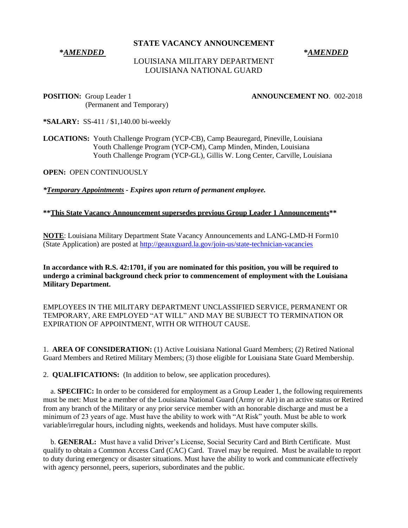## **STATE VACANCY ANNOUNCEMENT**

## **\****AMENDED* **\****AMENDED*

# LOUISIANA MILITARY DEPARTMENT LOUISIANA NATIONAL GUARD

**POSITION:** Group Leader 1 **ANNOUNCEMENT NO**. 002-2018 (Permanent and Temporary)

**\*SALARY:** SS-411 / \$1,140.00 bi-weekly

**LOCATIONS:** Youth Challenge Program (YCP-CB), Camp Beauregard, Pineville, Louisiana Youth Challenge Program (YCP-CM), Camp Minden, Minden, Louisiana Youth Challenge Program (YCP-GL), Gillis W. Long Center, Carville, Louisiana

**OPEN:** OPEN CONTINUOUSLY

*\*Temporary Appointments - Expires upon return of permanent employee.* 

## **\*\*This State Vacancy Announcement supersedes previous Group Leader 1 Announcements\*\***

**NOTE**: Louisiana Military Department State Vacancy Announcements and LANG-LMD-H Form10 (State Application) are posted at<http://geauxguard.la.gov/join-us/state-technician-vacancies>

**In accordance with R.S. 42:1701, if you are nominated for this position, you will be required to undergo a criminal background check prior to commencement of employment with the Louisiana Military Department.** 

EMPLOYEES IN THE MILITARY DEPARTMENT UNCLASSIFIED SERVICE, PERMANENT OR TEMPORARY, ARE EMPLOYED "AT WILL" AND MAY BE SUBJECT TO TERMINATION OR EXPIRATION OF APPOINTMENT, WITH OR WITHOUT CAUSE.

1. **AREA OF CONSIDERATION:** (1) Active Louisiana National Guard Members; (2) Retired National Guard Members and Retired Military Members; (3) those eligible for Louisiana State Guard Membership.

2. **QUALIFICATIONS:** (In addition to below, see application procedures).

 a. **SPECIFIC:** In order to be considered for employment as a Group Leader 1, the following requirements must be met: Must be a member of the Louisiana National Guard (Army or Air) in an active status or Retired from any branch of the Military or any prior service member with an honorable discharge and must be a minimum of 23 years of age. Must have the ability to work with "At Risk" youth. Must be able to work variable/irregular hours, including nights, weekends and holidays. Must have computer skills.

 b. **GENERAL:** Must have a valid Driver's License, Social Security Card and Birth Certificate. Must qualify to obtain a Common Access Card (CAC) Card. Travel may be required. Must be available to report to duty during emergency or disaster situations. Must have the ability to work and communicate effectively with agency personnel, peers, superiors, subordinates and the public.